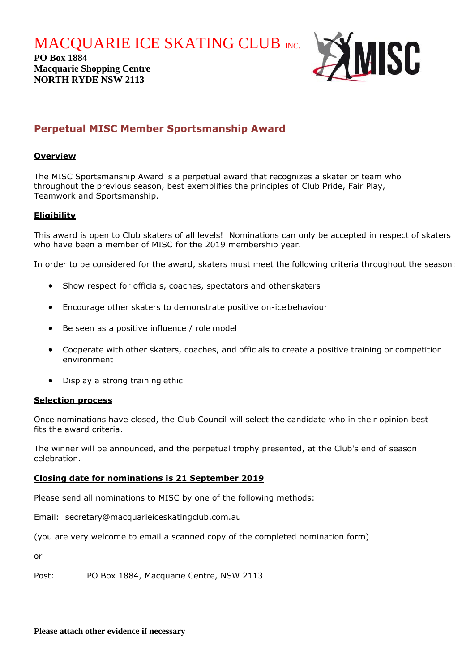**MACQUARIE ICE SKATING CLUB INC.** 

**PO Box 1884 Macquarie Shopping Centre NORTH RYDE NSW 2113**



## **Perpetual MISC Member Sportsmanship Award**

#### **Overview**

The MISC Sportsmanship Award is a perpetual award that recognizes a skater or team who throughout the previous season, best exemplifies the principles of Club Pride, Fair Play, Teamwork and Sportsmanship.

### **Eligibility**

This award is open to Club skaters of all levels! Nominations can only be accepted in respect of skaters who have been a member of MISC for the 2019 membership year.

In order to be considered for the award, skaters must meet the following criteria throughout the season:

- Show respect for officials, coaches, spectators and other skaters
- Encourage other skaters to demonstrate positive on-ice behaviour
- Be seen as a positive influence / role model
- Cooperate with other skaters, coaches, and officials to create a positive training or competition environment
- Display a strong training ethic

#### **Selection process**

Once nominations have closed, the Club Council will select the candidate who in their opinion best fits the award criteria.

The winner will be announced, and the perpetual trophy presented, at the Club's end of season celebration.

#### **Closing date for nominations is 21 September 2019**

Please send all nominations to MISC by one of the following methods:

Email: secretary@macquarieiceskatingclub.com.au

(you are very welcome to email a scanned copy of the completed nomination form)

or

Post: PO Box 1884, Macquarie Centre, NSW 2113